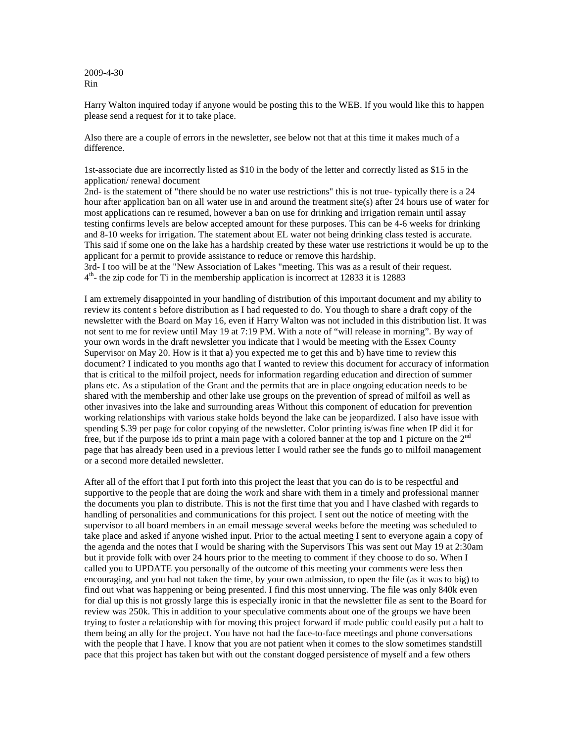2009-4-30 Rin

Harry Walton inquired today if anyone would be posting this to the WEB. If you would like this to happen please send a request for it to take place.

Also there are a couple of errors in the newsletter, see below not that at this time it makes much of a difference.

1st-associate due are incorrectly listed as \$10 in the body of the letter and correctly listed as \$15 in the application/ renewal document

2nd- is the statement of "there should be no water use restrictions" this is not true- typically there is a 24 hour after application ban on all water use in and around the treatment site(s) after 24 hours use of water for most applications can re resumed, however a ban on use for drinking and irrigation remain until assay testing confirms levels are below accepted amount for these purposes. This can be 4-6 weeks for drinking and 8-10 weeks for irrigation. The statement about EL water not being drinking class tested is accurate. This said if some one on the lake has a hardship created by these water use restrictions it would be up to the applicant for a permit to provide assistance to reduce or remove this hardship.

3rd- I too will be at the "New Association of Lakes "meeting. This was as a result of their request.  $4<sup>th</sup>$ - the zip code for Ti in the membership application is incorrect at 12833 it is 12883

I am extremely disappointed in your handling of distribution of this important document and my ability to review its content s before distribution as I had requested to do. You though to share a draft copy of the newsletter with the Board on May 16, even if Harry Walton was not included in this distribution list. It was not sent to me for review until May 19 at 7:19 PM. With a note of "will release in morning". By way of your own words in the draft newsletter you indicate that I would be meeting with the Essex County Supervisor on May 20. How is it that a) you expected me to get this and b) have time to review this document? I indicated to you months ago that I wanted to review this document for accuracy of information that is critical to the milfoil project, needs for information regarding education and direction of summer plans etc. As a stipulation of the Grant and the permits that are in place ongoing education needs to be shared with the membership and other lake use groups on the prevention of spread of milfoil as well as other invasives into the lake and surrounding areas Without this component of education for prevention working relationships with various stake holds beyond the lake can be jeopardized. I also have issue with spending \$.39 per page for color copying of the newsletter. Color printing is/was fine when IP did it for free, but if the purpose ids to print a main page with a colored banner at the top and 1 picture on the  $2<sup>nd</sup>$ page that has already been used in a previous letter I would rather see the funds go to milfoil management or a second more detailed newsletter.

After all of the effort that I put forth into this project the least that you can do is to be respectful and supportive to the people that are doing the work and share with them in a timely and professional manner the documents you plan to distribute. This is not the first time that you and I have clashed with regards to handling of personalities and communications for this project. I sent out the notice of meeting with the supervisor to all board members in an email message several weeks before the meeting was scheduled to take place and asked if anyone wished input. Prior to the actual meeting I sent to everyone again a copy of the agenda and the notes that I would be sharing with the Supervisors This was sent out May 19 at 2:30am but it provide folk with over 24 hours prior to the meeting to comment if they choose to do so. When I called you to UPDATE you personally of the outcome of this meeting your comments were less then encouraging, and you had not taken the time, by your own admission, to open the file (as it was to big) to find out what was happening or being presented. I find this most unnerving. The file was only 840k even for dial up this is not grossly large this is especially ironic in that the newsletter file as sent to the Board for review was 250k. This in addition to your speculative comments about one of the groups we have been trying to foster a relationship with for moving this project forward if made public could easily put a halt to them being an ally for the project. You have not had the face-to-face meetings and phone conversations with the people that I have. I know that you are not patient when it comes to the slow sometimes standstill pace that this project has taken but with out the constant dogged persistence of myself and a few others